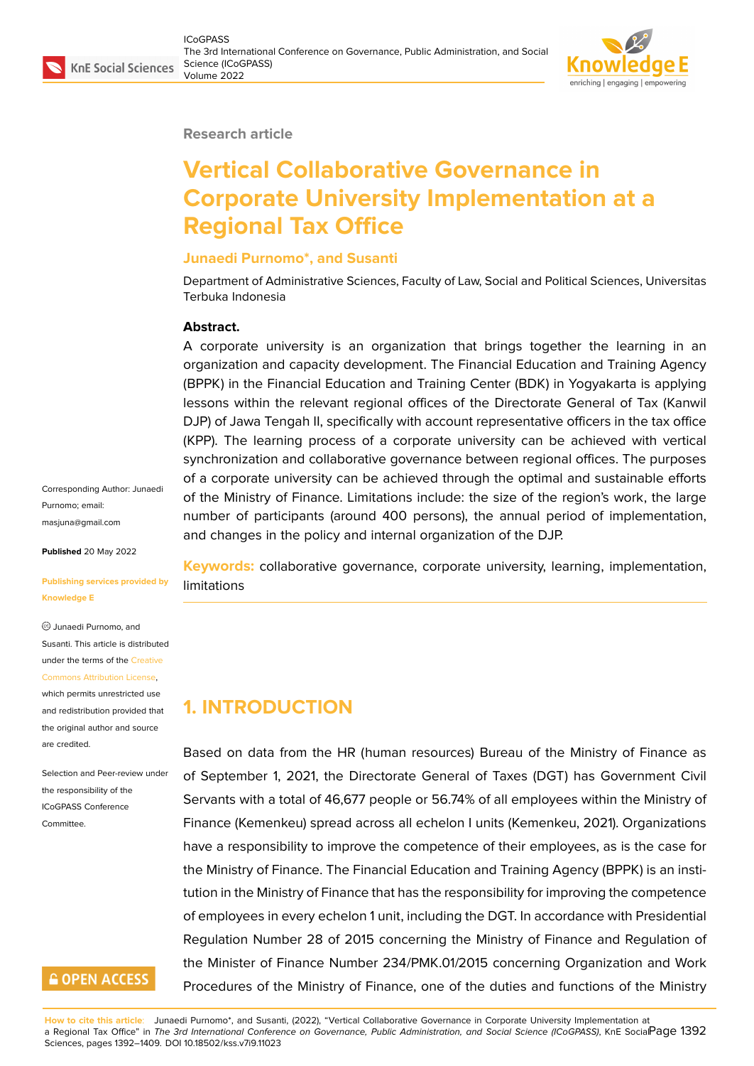#### **Research article**

# **Vertical Collaborative Governance in Corporate University Implementation at a Regional Tax Office**

#### **Junaedi Purnomo\*, and Susanti**

Department of Administrative Sciences, Faculty of Law, Social and Political Sciences, Universitas Terbuka Indonesia

#### **Abstract.**

A corporate university is an organization that brings together the learning in an organization and capacity development. The Financial Education and Training Agency (BPPK) in the Financial Education and Training Center (BDK) in Yogyakarta is applying lessons within the relevant regional offices of the Directorate General of Tax (Kanwil DJP) of Jawa Tengah II, specifically with account representative officers in the tax office (KPP). The learning process of a corporate university can be achieved with vertical synchronization and collaborative governance between regional offices. The purposes of a corporate university can be achieved through the optimal and sustainable efforts of the Ministry of Finance. Limitations include: the size of the region's work, the large number of participants (around 400 persons), the annual period of implementation, and changes in the policy and internal organization of the DJP.

**Keywords:** collaborative governance, corporate university, learning, implementation, limitations

## **1. INTRODUCTION**

Based on data from the HR (human resources) Bureau of the Ministry of Finance as of September 1, 2021, the Directorate General of Taxes (DGT) has Government Civil Servants with a total of 46,677 people or 56.74% of all employees within the Ministry of Finance (Kemenkeu) spread across all echelon I units (Kemenkeu, 2021). Organizations have a responsibility to improve the competence of their employees, as is the case for the Ministry of Finance. The Financial Education and Training Agency (BPPK) is an institution in the Ministry of Finance that has the responsibility for improving the competence of employees in every echelon 1 unit, including the DGT. In accordance with Presidential Regulation Number 28 of 2015 concerning the Ministry of Finance and Regulation of the Minister of Finance Number 234/PMK.01/2015 concerning Organization and Work Procedures of the Ministry of Finance, one of the duties and functions of the Ministry

Corresponding Author: Junaedi Purnomo; email: masjuna@gmail.com

**Published** 20 May 2022

#### **[Publishing services](mailto:masjuna@gmail.com) provided by Knowledge E**

Junaedi Purnomo, and Susanti. This article is distributed under the terms of the Creative Commons Attribution License,

which permits unrestricted use and redistribution provided that the original author and [source](https://creativecommons.org/licenses/by/4.0/) [are credited.](https://creativecommons.org/licenses/by/4.0/)

Selection and Peer-review under the responsibility of the ICoGPASS Conference Committee.

### **GOPEN ACCESS**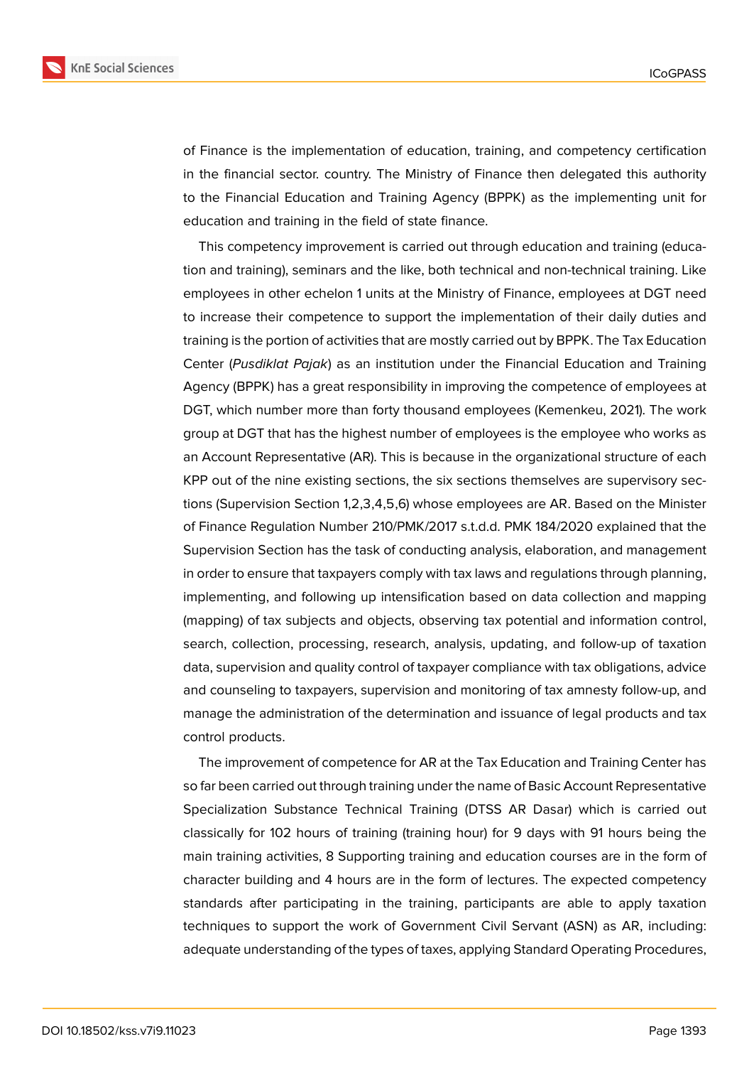

of Finance is the implementation of education, training, and competency certification in the financial sector. country. The Ministry of Finance then delegated this authority to the Financial Education and Training Agency (BPPK) as the implementing unit for education and training in the field of state finance.

This competency improvement is carried out through education and training (education and training), seminars and the like, both technical and non-technical training. Like employees in other echelon 1 units at the Ministry of Finance, employees at DGT need to increase their competence to support the implementation of their daily duties and training is the portion of activities that are mostly carried out by BPPK. The Tax Education Center (*Pusdiklat Pajak*) as an institution under the Financial Education and Training Agency (BPPK) has a great responsibility in improving the competence of employees at DGT, which number more than forty thousand employees (Kemenkeu, 2021). The work group at DGT that has the highest number of employees is the employee who works as an Account Representative (AR). This is because in the organizational structure of each KPP out of the nine existing sections, the six sections themselves are supervisory sections (Supervision Section 1,2,3,4,5,6) whose employees are AR. Based on the Minister of Finance Regulation Number 210/PMK/2017 s.t.d.d. PMK 184/2020 explained that the Supervision Section has the task of conducting analysis, elaboration, and management in order to ensure that taxpayers comply with tax laws and regulations through planning, implementing, and following up intensification based on data collection and mapping (mapping) of tax subjects and objects, observing tax potential and information control, search, collection, processing, research, analysis, updating, and follow-up of taxation data, supervision and quality control of taxpayer compliance with tax obligations, advice and counseling to taxpayers, supervision and monitoring of tax amnesty follow-up, and manage the administration of the determination and issuance of legal products and tax control products.

The improvement of competence for AR at the Tax Education and Training Center has so far been carried out through training under the name of Basic Account Representative Specialization Substance Technical Training (DTSS AR Dasar) which is carried out classically for 102 hours of training (training hour) for 9 days with 91 hours being the main training activities, 8 Supporting training and education courses are in the form of character building and 4 hours are in the form of lectures. The expected competency standards after participating in the training, participants are able to apply taxation techniques to support the work of Government Civil Servant (ASN) as AR, including: adequate understanding of the types of taxes, applying Standard Operating Procedures,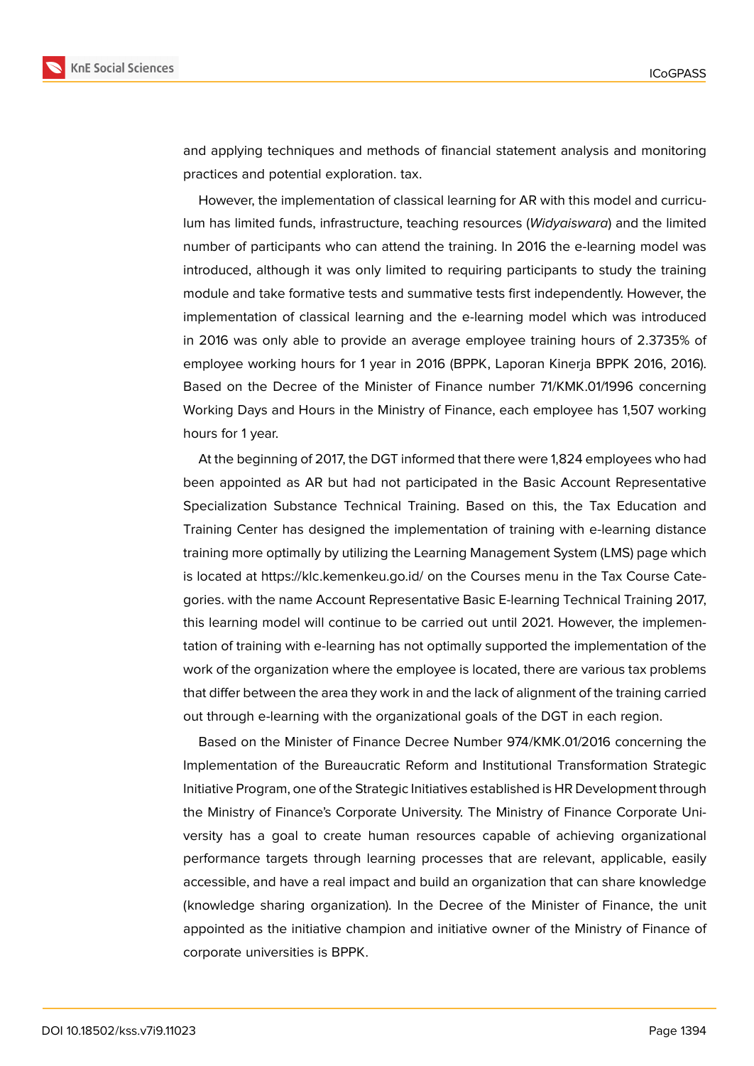

and applying techniques and methods of financial statement analysis and monitoring practices and potential exploration. tax.

However, the implementation of classical learning for AR with this model and curriculum has limited funds, infrastructure, teaching resources (*Widyaiswara*) and the limited number of participants who can attend the training. In 2016 the e-learning model was introduced, although it was only limited to requiring participants to study the training module and take formative tests and summative tests first independently. However, the implementation of classical learning and the e-learning model which was introduced in 2016 was only able to provide an average employee training hours of 2.3735% of employee working hours for 1 year in 2016 (BPPK, Laporan Kinerja BPPK 2016, 2016). Based on the Decree of the Minister of Finance number 71/KMK.01/1996 concerning Working Days and Hours in the Ministry of Finance, each employee has 1,507 working hours for 1 year.

At the beginning of 2017, the DGT informed that there were 1,824 employees who had been appointed as AR but had not participated in the Basic Account Representative Specialization Substance Technical Training. Based on this, the Tax Education and Training Center has designed the implementation of training with e-learning distance training more optimally by utilizing the Learning Management System (LMS) page which is located at https://klc.kemenkeu.go.id/ on the Courses menu in the Tax Course Categories. with the name Account Representative Basic E-learning Technical Training 2017, this learning model will continue to be carried out until 2021. However, the implementation of training with e-learning has not optimally supported the implementation of the work of the organization where the employee is located, there are various tax problems that differ between the area they work in and the lack of alignment of the training carried out through e-learning with the organizational goals of the DGT in each region.

Based on the Minister of Finance Decree Number 974/KMK.01/2016 concerning the Implementation of the Bureaucratic Reform and Institutional Transformation Strategic Initiative Program, one of the Strategic Initiatives established is HR Development through the Ministry of Finance's Corporate University. The Ministry of Finance Corporate University has a goal to create human resources capable of achieving organizational performance targets through learning processes that are relevant, applicable, easily accessible, and have a real impact and build an organization that can share knowledge (knowledge sharing organization). In the Decree of the Minister of Finance, the unit appointed as the initiative champion and initiative owner of the Ministry of Finance of corporate universities is BPPK.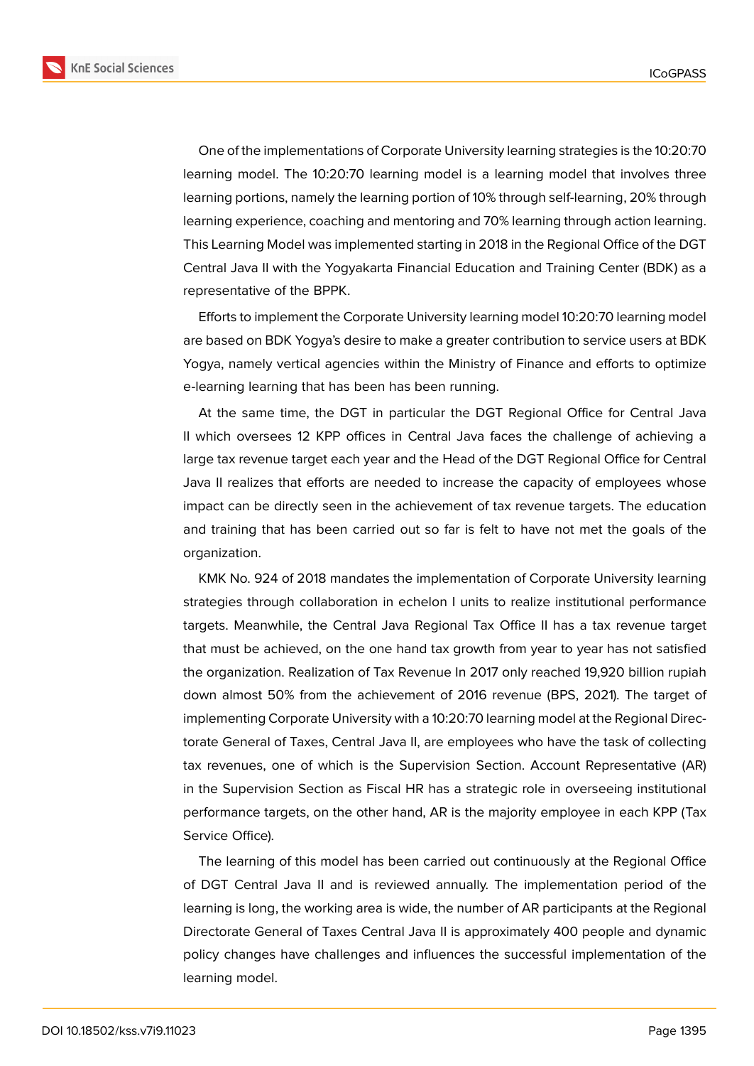

One of the implementations of Corporate University learning strategies is the 10:20:70 learning model. The 10:20:70 learning model is a learning model that involves three learning portions, namely the learning portion of 10% through self-learning, 20% through learning experience, coaching and mentoring and 70% learning through action learning. This Learning Model was implemented starting in 2018 in the Regional Office of the DGT Central Java II with the Yogyakarta Financial Education and Training Center (BDK) as a

representative of the BPPK.

Efforts to implement the Corporate University learning model 10:20:70 learning model are based on BDK Yogya's desire to make a greater contribution to service users at BDK Yogya, namely vertical agencies within the Ministry of Finance and efforts to optimize e-learning learning that has been has been running.

At the same time, the DGT in particular the DGT Regional Office for Central Java II which oversees 12 KPP offices in Central Java faces the challenge of achieving a large tax revenue target each year and the Head of the DGT Regional Office for Central Java II realizes that efforts are needed to increase the capacity of employees whose impact can be directly seen in the achievement of tax revenue targets. The education and training that has been carried out so far is felt to have not met the goals of the organization.

KMK No. 924 of 2018 mandates the implementation of Corporate University learning strategies through collaboration in echelon I units to realize institutional performance targets. Meanwhile, the Central Java Regional Tax Office II has a tax revenue target that must be achieved, on the one hand tax growth from year to year has not satisfied the organization. Realization of Tax Revenue In 2017 only reached 19,920 billion rupiah down almost 50% from the achievement of 2016 revenue (BPS, 2021). The target of implementing Corporate University with a 10:20:70 learning model at the Regional Directorate General of Taxes, Central Java II, are employees who have the task of collecting tax revenues, one of which is the Supervision Section. Account Representative (AR) in the Supervision Section as Fiscal HR has a strategic role in overseeing institutional performance targets, on the other hand, AR is the majority employee in each KPP (Tax Service Office).

The learning of this model has been carried out continuously at the Regional Office of DGT Central Java II and is reviewed annually. The implementation period of the learning is long, the working area is wide, the number of AR participants at the Regional Directorate General of Taxes Central Java II is approximately 400 people and dynamic policy changes have challenges and influences the successful implementation of the learning model.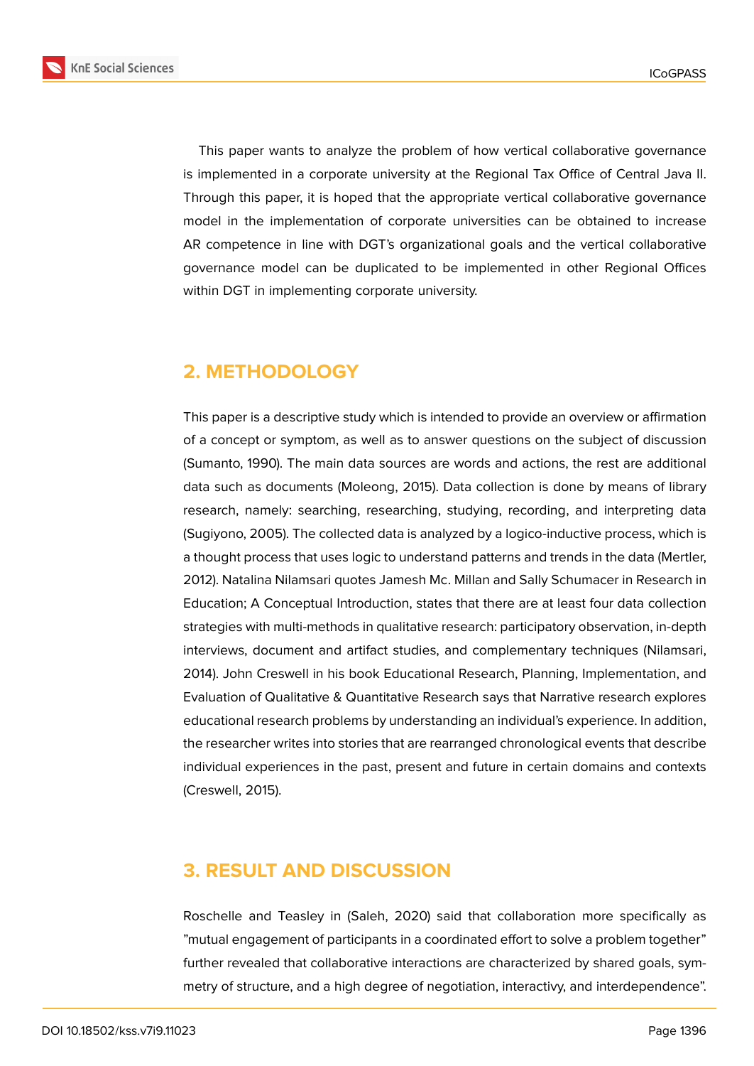

This paper wants to analyze the problem of how vertical collaborative governance is implemented in a corporate university at the Regional Tax Office of Central Java II. Through this paper, it is hoped that the appropriate vertical collaborative governance model in the implementation of corporate universities can be obtained to increase AR competence in line with DGT's organizational goals and the vertical collaborative governance model can be duplicated to be implemented in other Regional Offices within DGT in implementing corporate university.

#### **2. METHODOLOGY**

This paper is a descriptive study which is intended to provide an overview or affirmation of a concept or symptom, as well as to answer questions on the subject of discussion (Sumanto, 1990). The main data sources are words and actions, the rest are additional data such as documents (Moleong, 2015). Data collection is done by means of library research, namely: searching, researching, studying, recording, and interpreting data (Sugiyono, 2005). The collected data is analyzed by a logico-inductive process, which is a thought process that uses logic to understand patterns and trends in the data (Mertler, 2012). Natalina Nilamsari quotes Jamesh Mc. Millan and Sally Schumacer in Research in Education; A Conceptual Introduction, states that there are at least four data collection strategies with multi-methods in qualitative research: participatory observation, in-depth interviews, document and artifact studies, and complementary techniques (Nilamsari, 2014). John Creswell in his book Educational Research, Planning, Implementation, and Evaluation of Qualitative & Quantitative Research says that Narrative research explores educational research problems by understanding an individual's experience. In addition, the researcher writes into stories that are rearranged chronological events that describe individual experiences in the past, present and future in certain domains and contexts (Creswell, 2015).

### **3. RESULT AND DISCUSSION**

Roschelle and Teasley in (Saleh, 2020) said that collaboration more specifically as "mutual engagement of participants in a coordinated effort to solve a problem together" further revealed that collaborative interactions are characterized by shared goals, symmetry of structure, and a high degree of negotiation, interactivy, and interdependence".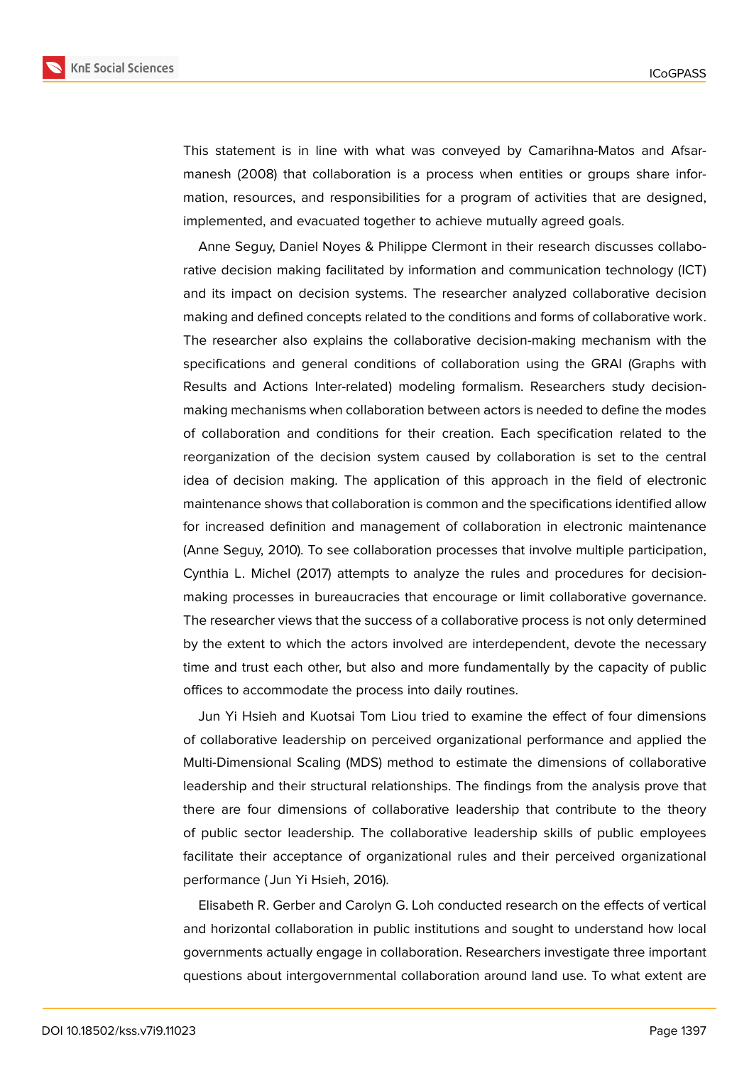

This statement is in line with what was conveyed by Camarihna-Matos and Afsarmanesh (2008) that collaboration is a process when entities or groups share information, resources, and responsibilities for a program of activities that are designed, implemented, and evacuated together to achieve mutually agreed goals.

Anne Seguy, Daniel Noyes & Philippe Clermont in their research discusses collaborative decision making facilitated by information and communication technology (ICT) and its impact on decision systems. The researcher analyzed collaborative decision making and defined concepts related to the conditions and forms of collaborative work. The researcher also explains the collaborative decision-making mechanism with the specifications and general conditions of collaboration using the GRAI (Graphs with Results and Actions Inter-related) modeling formalism. Researchers study decisionmaking mechanisms when collaboration between actors is needed to define the modes of collaboration and conditions for their creation. Each specification related to the reorganization of the decision system caused by collaboration is set to the central idea of decision making. The application of this approach in the field of electronic maintenance shows that collaboration is common and the specifications identified allow for increased definition and management of collaboration in electronic maintenance (Anne Seguy, 2010). To see collaboration processes that involve multiple participation, Cynthia L. Michel (2017) attempts to analyze the rules and procedures for decisionmaking processes in bureaucracies that encourage or limit collaborative governance. The researcher views that the success of a collaborative process is not only determined by the extent to which the actors involved are interdependent, devote the necessary time and trust each other, but also and more fundamentally by the capacity of public offices to accommodate the process into daily routines.

Jun Yi Hsieh and Kuotsai Tom Liou tried to examine the effect of four dimensions of collaborative leadership on perceived organizational performance and applied the Multi-Dimensional Scaling (MDS) method to estimate the dimensions of collaborative leadership and their structural relationships. The findings from the analysis prove that there are four dimensions of collaborative leadership that contribute to the theory of public sector leadership. The collaborative leadership skills of public employees facilitate their acceptance of organizational rules and their perceived organizational performance ( Jun Yi Hsieh, 2016).

Elisabeth R. Gerber and Carolyn G. Loh conducted research on the effects of vertical and horizontal collaboration in public institutions and sought to understand how local governments actually engage in collaboration. Researchers investigate three important questions about intergovernmental collaboration around land use. To what extent are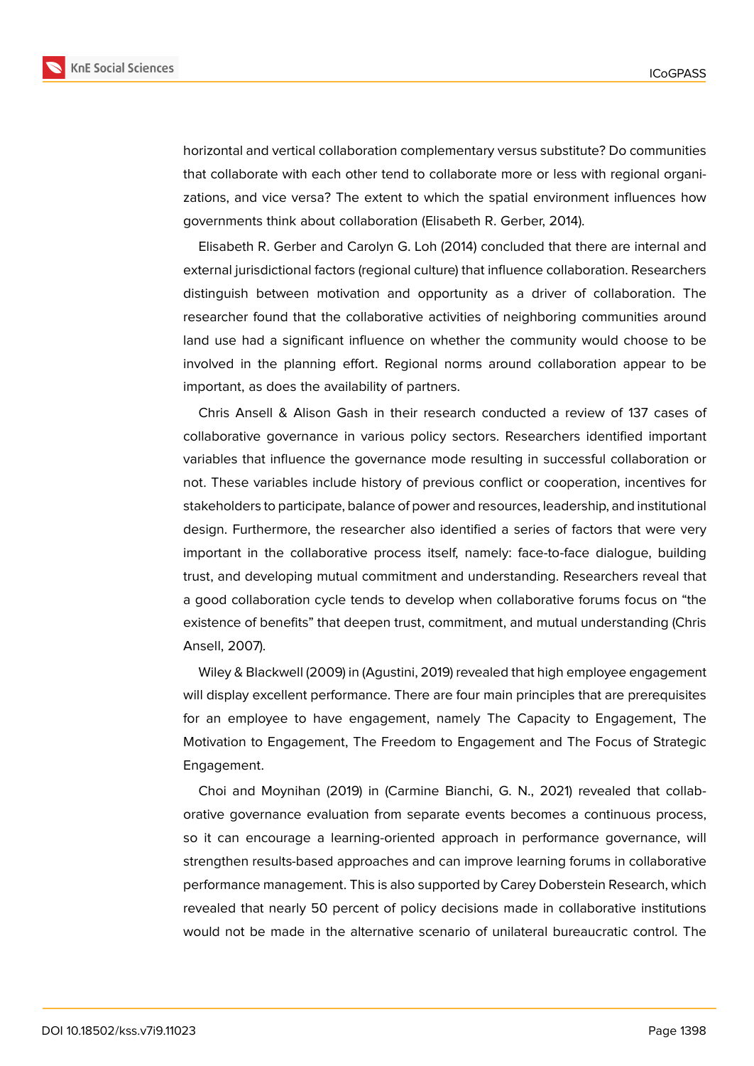

horizontal and vertical collaboration complementary versus substitute? Do communities that collaborate with each other tend to collaborate more or less with regional organizations, and vice versa? The extent to which the spatial environment influences how governments think about collaboration (Elisabeth R. Gerber, 2014).

Elisabeth R. Gerber and Carolyn G. Loh (2014) concluded that there are internal and external jurisdictional factors (regional culture) that influence collaboration. Researchers distinguish between motivation and opportunity as a driver of collaboration. The researcher found that the collaborative activities of neighboring communities around land use had a significant influence on whether the community would choose to be involved in the planning effort. Regional norms around collaboration appear to be important, as does the availability of partners.

Chris Ansell & Alison Gash in their research conducted a review of 137 cases of collaborative governance in various policy sectors. Researchers identified important variables that influence the governance mode resulting in successful collaboration or not. These variables include history of previous conflict or cooperation, incentives for stakeholders to participate, balance of power and resources, leadership, and institutional design. Furthermore, the researcher also identified a series of factors that were very important in the collaborative process itself, namely: face-to-face dialogue, building trust, and developing mutual commitment and understanding. Researchers reveal that a good collaboration cycle tends to develop when collaborative forums focus on "the existence of benefits" that deepen trust, commitment, and mutual understanding (Chris Ansell, 2007).

Wiley & Blackwell (2009) in (Agustini, 2019) revealed that high employee engagement will display excellent performance. There are four main principles that are prerequisites for an employee to have engagement, namely The Capacity to Engagement, The Motivation to Engagement, The Freedom to Engagement and The Focus of Strategic Engagement.

Choi and Moynihan (2019) in (Carmine Bianchi, G. N., 2021) revealed that collaborative governance evaluation from separate events becomes a continuous process, so it can encourage a learning-oriented approach in performance governance, will strengthen results-based approaches and can improve learning forums in collaborative performance management. This is also supported by Carey Doberstein Research, which revealed that nearly 50 percent of policy decisions made in collaborative institutions would not be made in the alternative scenario of unilateral bureaucratic control. The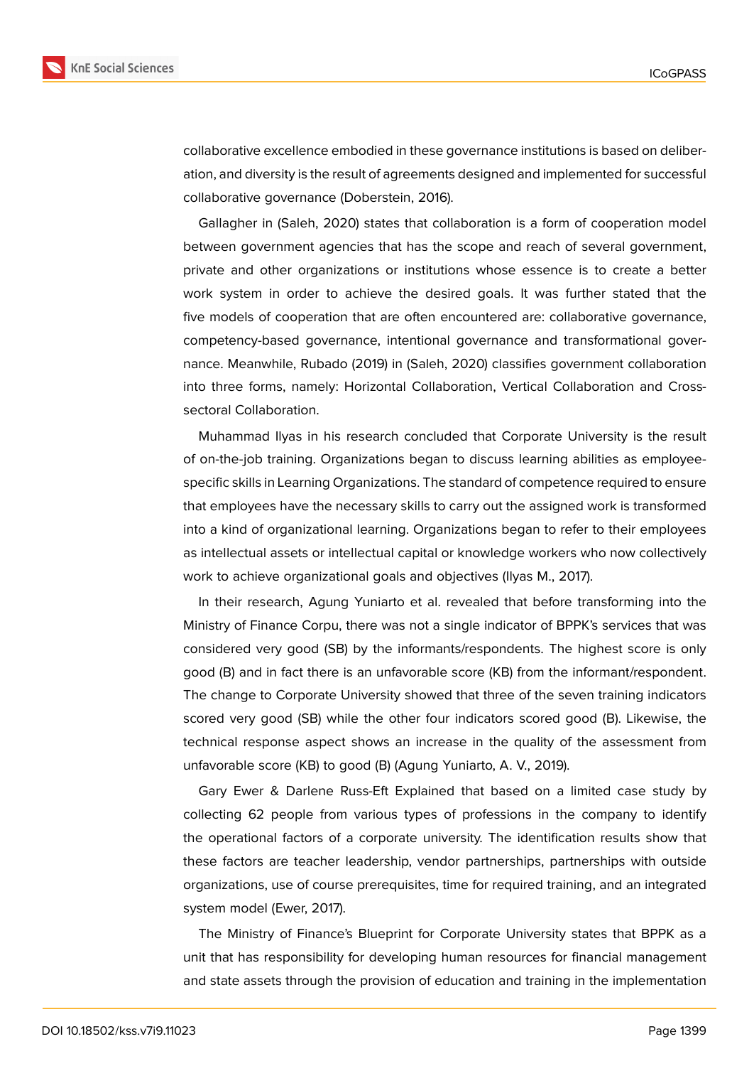

collaborative excellence embodied in these governance institutions is based on deliberation, and diversity is the result of agreements designed and implemented for successful collaborative governance (Doberstein, 2016).

Gallagher in (Saleh, 2020) states that collaboration is a form of cooperation model between government agencies that has the scope and reach of several government, private and other organizations or institutions whose essence is to create a better work system in order to achieve the desired goals. It was further stated that the five models of cooperation that are often encountered are: collaborative governance, competency-based governance, intentional governance and transformational governance. Meanwhile, Rubado (2019) in (Saleh, 2020) classifies government collaboration into three forms, namely: Horizontal Collaboration, Vertical Collaboration and Crosssectoral Collaboration.

Muhammad Ilyas in his research concluded that Corporate University is the result of on-the-job training. Organizations began to discuss learning abilities as employeespecific skills in Learning Organizations. The standard of competence required to ensure that employees have the necessary skills to carry out the assigned work is transformed into a kind of organizational learning. Organizations began to refer to their employees as intellectual assets or intellectual capital or knowledge workers who now collectively work to achieve organizational goals and objectives (Ilyas M., 2017).

In their research, Agung Yuniarto et al. revealed that before transforming into the Ministry of Finance Corpu, there was not a single indicator of BPPK's services that was considered very good (SB) by the informants/respondents. The highest score is only good (B) and in fact there is an unfavorable score (KB) from the informant/respondent. The change to Corporate University showed that three of the seven training indicators scored very good (SB) while the other four indicators scored good (B). Likewise, the technical response aspect shows an increase in the quality of the assessment from unfavorable score (KB) to good (B) (Agung Yuniarto, A. V., 2019).

Gary Ewer & Darlene Russ-Eft Explained that based on a limited case study by collecting 62 people from various types of professions in the company to identify the operational factors of a corporate university. The identification results show that these factors are teacher leadership, vendor partnerships, partnerships with outside organizations, use of course prerequisites, time for required training, and an integrated system model (Ewer, 2017).

The Ministry of Finance's Blueprint for Corporate University states that BPPK as a unit that has responsibility for developing human resources for financial management and state assets through the provision of education and training in the implementation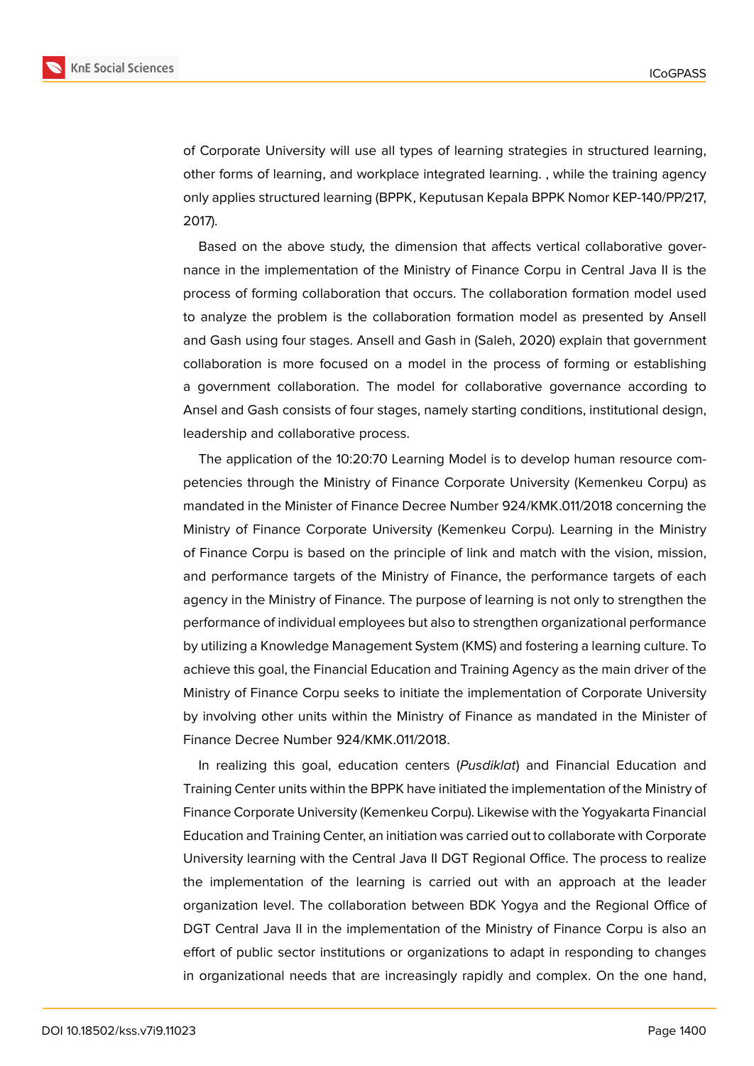

of Corporate University will use all types of learning strategies in structured learning, other forms of learning, and workplace integrated learning. , while the training agency only applies structured learning (BPPK, Keputusan Kepala BPPK Nomor KEP-140/PP/217, 2017).

Based on the above study, the dimension that affects vertical collaborative governance in the implementation of the Ministry of Finance Corpu in Central Java II is the process of forming collaboration that occurs. The collaboration formation model used to analyze the problem is the collaboration formation model as presented by Ansell and Gash using four stages. Ansell and Gash in (Saleh, 2020) explain that government collaboration is more focused on a model in the process of forming or establishing a government collaboration. The model for collaborative governance according to Ansel and Gash consists of four stages, namely starting conditions, institutional design, leadership and collaborative process.

The application of the 10:20:70 Learning Model is to develop human resource competencies through the Ministry of Finance Corporate University (Kemenkeu Corpu) as mandated in the Minister of Finance Decree Number 924/KMK.011/2018 concerning the Ministry of Finance Corporate University (Kemenkeu Corpu). Learning in the Ministry of Finance Corpu is based on the principle of link and match with the vision, mission, and performance targets of the Ministry of Finance, the performance targets of each agency in the Ministry of Finance. The purpose of learning is not only to strengthen the performance of individual employees but also to strengthen organizational performance by utilizing a Knowledge Management System (KMS) and fostering a learning culture. To achieve this goal, the Financial Education and Training Agency as the main driver of the Ministry of Finance Corpu seeks to initiate the implementation of Corporate University by involving other units within the Ministry of Finance as mandated in the Minister of Finance Decree Number 924/KMK.011/2018.

In realizing this goal, education centers (*Pusdiklat*) and Financial Education and Training Center units within the BPPK have initiated the implementation of the Ministry of Finance Corporate University (Kemenkeu Corpu). Likewise with the Yogyakarta Financial Education and Training Center, an initiation was carried out to collaborate with Corporate University learning with the Central Java II DGT Regional Office. The process to realize the implementation of the learning is carried out with an approach at the leader organization level. The collaboration between BDK Yogya and the Regional Office of DGT Central Java II in the implementation of the Ministry of Finance Corpu is also an effort of public sector institutions or organizations to adapt in responding to changes in organizational needs that are increasingly rapidly and complex. On the one hand,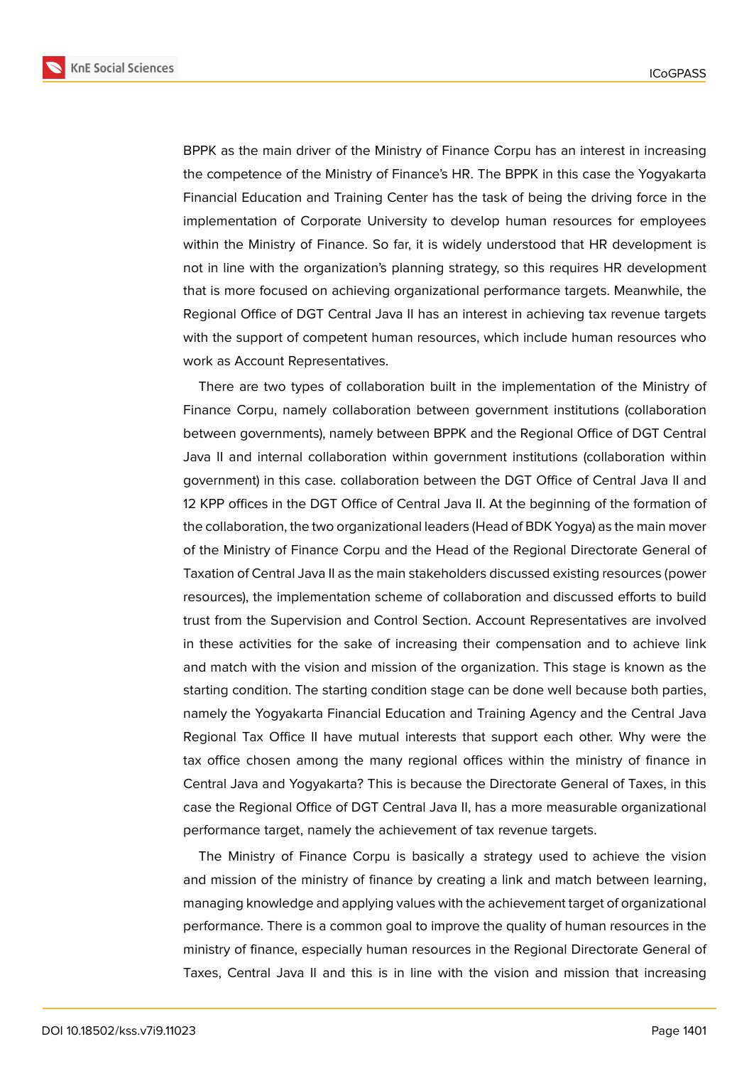

BPPK as the main driver of the Ministry of Finance Corpu has an interest in increasing the competence of the Ministry of Finance's HR. The BPPK in this case the Yogyakarta Financial Education and Training Center has the task of being the driving force in the implementation of Corporate University to develop human resources for employees within the Ministry of Finance. So far, it is widely understood that HR development is not in line with the organization's planning strategy, so this requires HR development that is more focused on achieving organizational performance targets. Meanwhile, the Regional Office of DGT Central Java II has an interest in achieving tax revenue targets with the support of competent human resources, which include human resources who work as Account Representatives.

There are two types of collaboration built in the implementation of the Ministry of Finance Corpu, namely collaboration between government institutions (collaboration between governments), namely between BPPK and the Regional Office of DGT Central Java II and internal collaboration within government institutions (collaboration within government) in this case. collaboration between the DGT Office of Central Java II and 12 KPP offices in the DGT Office of Central Java II. At the beginning of the formation of the collaboration, the two organizational leaders (Head of BDK Yogya) as the main mover of the Ministry of Finance Corpu and the Head of the Regional Directorate General of Taxation of Central Java II as the main stakeholders discussed existing resources (power resources), the implementation scheme of collaboration and discussed efforts to build trust from the Supervision and Control Section. Account Representatives are involved in these activities for the sake of increasing their compensation and to achieve link and match with the vision and mission of the organization. This stage is known as the starting condition. The starting condition stage can be done well because both parties, namely the Yogyakarta Financial Education and Training Agency and the Central Java Regional Tax Office II have mutual interests that support each other. Why were the tax office chosen among the many regional offices within the ministry of finance in Central Java and Yogyakarta? This is because the Directorate General of Taxes, in this case the Regional Office of DGT Central Java II, has a more measurable organizational performance target, namely the achievement of tax revenue targets.

The Ministry of Finance Corpu is basically a strategy used to achieve the vision and mission of the ministry of finance by creating a link and match between learning, managing knowledge and applying values with the achievement target of organizational performance. There is a common goal to improve the quality of human resources in the ministry of finance, especially human resources in the Regional Directorate General of Taxes, Central Java II and this is in line with the vision and mission that increasing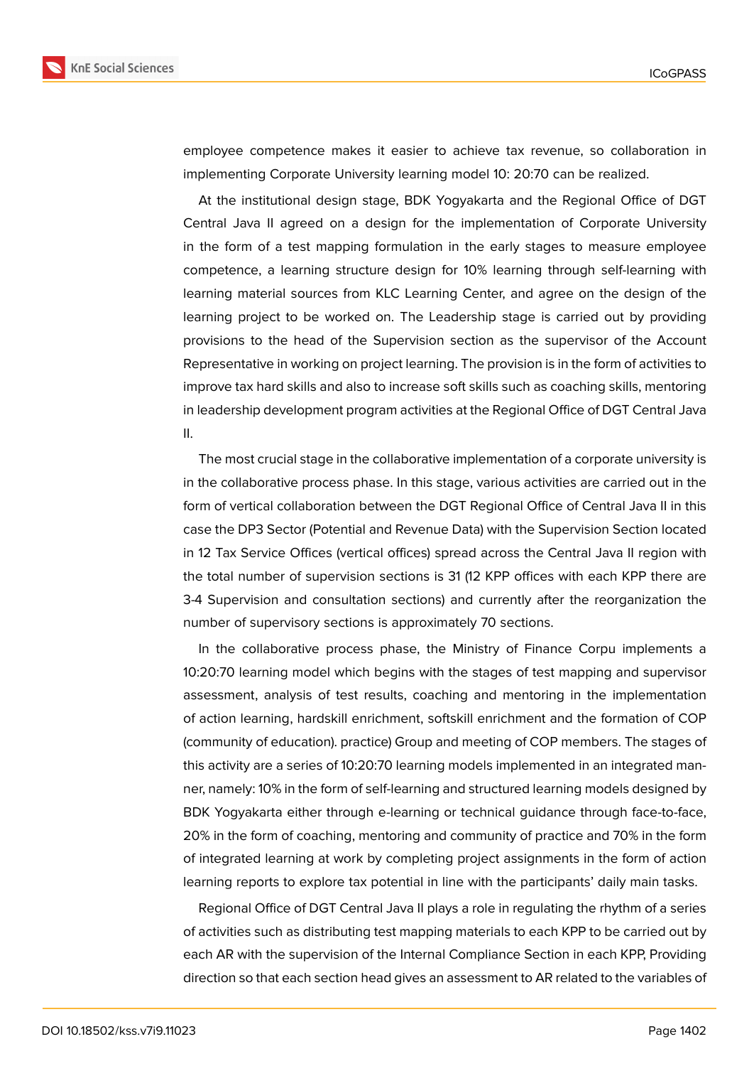

employee competence makes it easier to achieve tax revenue, so collaboration in implementing Corporate University learning model 10: 20:70 can be realized.

At the institutional design stage, BDK Yogyakarta and the Regional Office of DGT Central Java II agreed on a design for the implementation of Corporate University in the form of a test mapping formulation in the early stages to measure employee competence, a learning structure design for 10% learning through self-learning with learning material sources from KLC Learning Center, and agree on the design of the learning project to be worked on. The Leadership stage is carried out by providing provisions to the head of the Supervision section as the supervisor of the Account Representative in working on project learning. The provision is in the form of activities to improve tax hard skills and also to increase soft skills such as coaching skills, mentoring in leadership development program activities at the Regional Office of DGT Central Java II.

The most crucial stage in the collaborative implementation of a corporate university is in the collaborative process phase. In this stage, various activities are carried out in the form of vertical collaboration between the DGT Regional Office of Central Java II in this case the DP3 Sector (Potential and Revenue Data) with the Supervision Section located in 12 Tax Service Offices (vertical offices) spread across the Central Java II region with the total number of supervision sections is 31 (12 KPP offices with each KPP there are 3-4 Supervision and consultation sections) and currently after the reorganization the number of supervisory sections is approximately 70 sections.

In the collaborative process phase, the Ministry of Finance Corpu implements a 10:20:70 learning model which begins with the stages of test mapping and supervisor assessment, analysis of test results, coaching and mentoring in the implementation of action learning, hardskill enrichment, softskill enrichment and the formation of COP (community of education). practice) Group and meeting of COP members. The stages of this activity are a series of 10:20:70 learning models implemented in an integrated manner, namely: 10% in the form of self-learning and structured learning models designed by BDK Yogyakarta either through e-learning or technical guidance through face-to-face, 20% in the form of coaching, mentoring and community of practice and 70% in the form of integrated learning at work by completing project assignments in the form of action learning reports to explore tax potential in line with the participants' daily main tasks.

Regional Office of DGT Central Java II plays a role in regulating the rhythm of a series of activities such as distributing test mapping materials to each KPP to be carried out by each AR with the supervision of the Internal Compliance Section in each KPP, Providing direction so that each section head gives an assessment to AR related to the variables of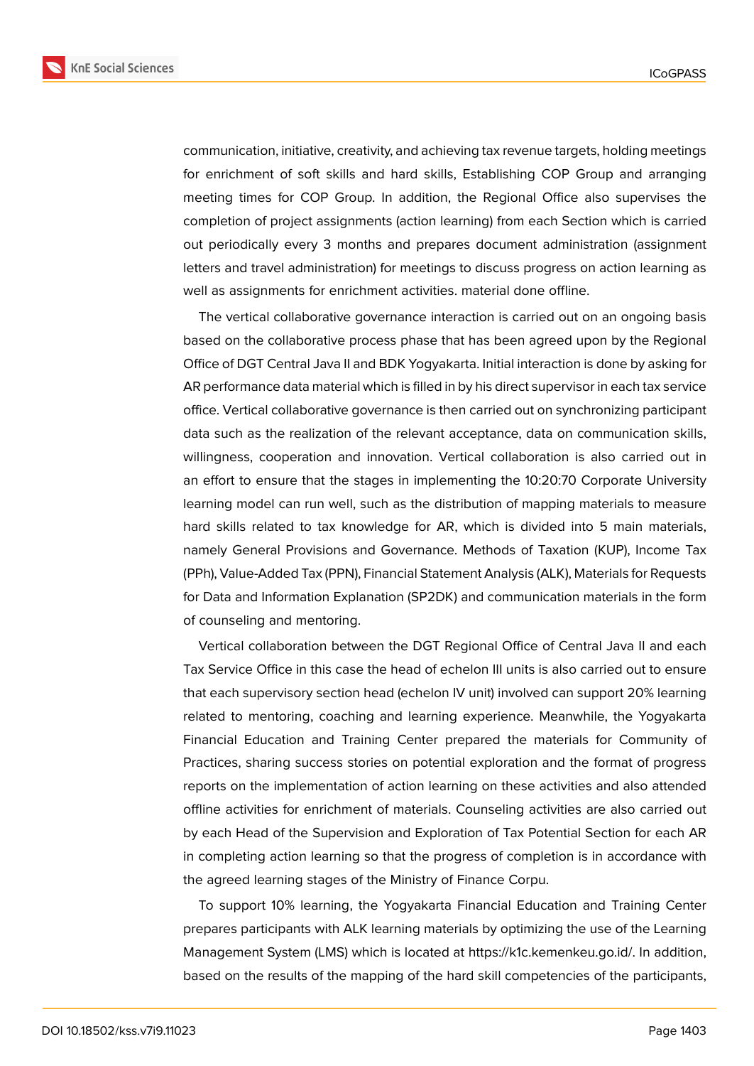

communication, initiative, creativity, and achieving tax revenue targets, holding meetings for enrichment of soft skills and hard skills, Establishing COP Group and arranging meeting times for COP Group. In addition, the Regional Office also supervises the completion of project assignments (action learning) from each Section which is carried out periodically every 3 months and prepares document administration (assignment letters and travel administration) for meetings to discuss progress on action learning as well as assignments for enrichment activities. material done offline.

The vertical collaborative governance interaction is carried out on an ongoing basis based on the collaborative process phase that has been agreed upon by the Regional Office of DGT Central Java II and BDK Yogyakarta. Initial interaction is done by asking for AR performance data material which is filled in by his direct supervisor in each tax service office. Vertical collaborative governance is then carried out on synchronizing participant data such as the realization of the relevant acceptance, data on communication skills, willingness, cooperation and innovation. Vertical collaboration is also carried out in an effort to ensure that the stages in implementing the 10:20:70 Corporate University learning model can run well, such as the distribution of mapping materials to measure hard skills related to tax knowledge for AR, which is divided into 5 main materials, namely General Provisions and Governance. Methods of Taxation (KUP), Income Tax (PPh), Value-Added Tax (PPN), Financial Statement Analysis (ALK), Materials for Requests for Data and Information Explanation (SP2DK) and communication materials in the form of counseling and mentoring.

Vertical collaboration between the DGT Regional Office of Central Java II and each Tax Service Office in this case the head of echelon III units is also carried out to ensure that each supervisory section head (echelon IV unit) involved can support 20% learning related to mentoring, coaching and learning experience. Meanwhile, the Yogyakarta Financial Education and Training Center prepared the materials for Community of Practices, sharing success stories on potential exploration and the format of progress reports on the implementation of action learning on these activities and also attended offline activities for enrichment of materials. Counseling activities are also carried out by each Head of the Supervision and Exploration of Tax Potential Section for each AR in completing action learning so that the progress of completion is in accordance with the agreed learning stages of the Ministry of Finance Corpu.

To support 10% learning, the Yogyakarta Financial Education and Training Center prepares participants with ALK learning materials by optimizing the use of the Learning Management System (LMS) which is located at https://k1c.kemenkeu.go.id/. In addition, based on the results of the mapping of the hard skill competencies of the participants,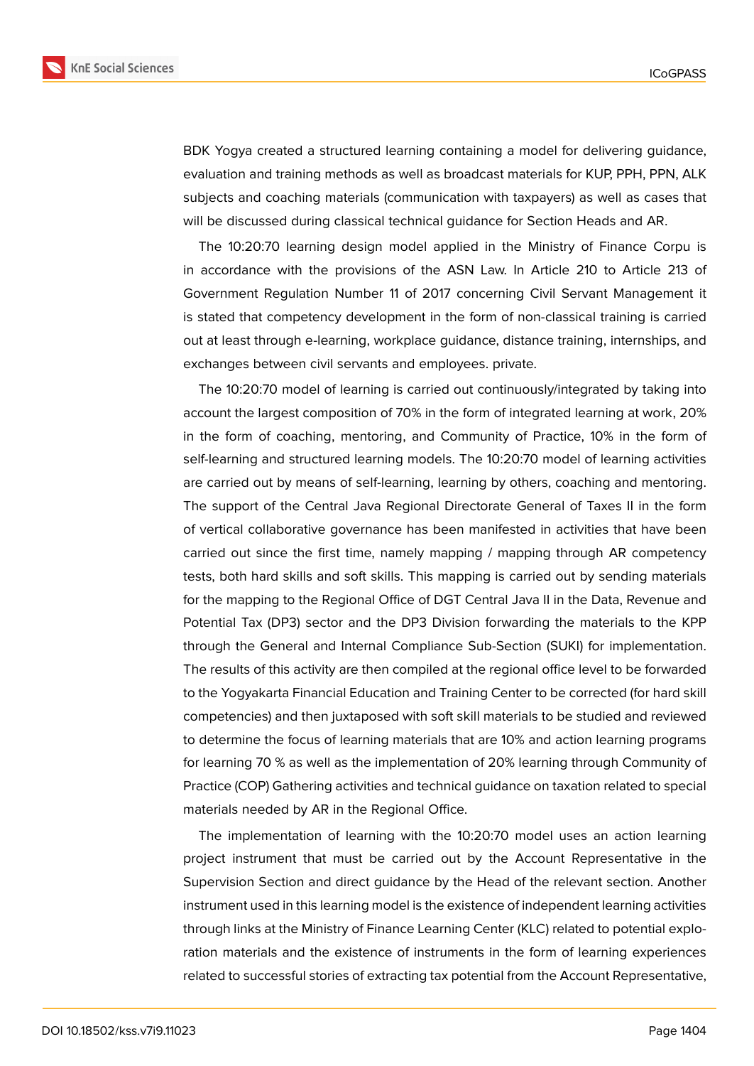

BDK Yogya created a structured learning containing a model for delivering guidance, evaluation and training methods as well as broadcast materials for KUP, PPH, PPN, ALK subjects and coaching materials (communication with taxpayers) as well as cases that will be discussed during classical technical guidance for Section Heads and AR.

The 10:20:70 learning design model applied in the Ministry of Finance Corpu is in accordance with the provisions of the ASN Law. In Article 210 to Article 213 of Government Regulation Number 11 of 2017 concerning Civil Servant Management it is stated that competency development in the form of non-classical training is carried out at least through e-learning, workplace guidance, distance training, internships, and exchanges between civil servants and employees. private.

The 10:20:70 model of learning is carried out continuously/integrated by taking into account the largest composition of 70% in the form of integrated learning at work, 20% in the form of coaching, mentoring, and Community of Practice, 10% in the form of self-learning and structured learning models. The 10:20:70 model of learning activities are carried out by means of self-learning, learning by others, coaching and mentoring. The support of the Central Java Regional Directorate General of Taxes II in the form of vertical collaborative governance has been manifested in activities that have been carried out since the first time, namely mapping / mapping through AR competency tests, both hard skills and soft skills. This mapping is carried out by sending materials for the mapping to the Regional Office of DGT Central Java II in the Data, Revenue and Potential Tax (DP3) sector and the DP3 Division forwarding the materials to the KPP through the General and Internal Compliance Sub-Section (SUKI) for implementation. The results of this activity are then compiled at the regional office level to be forwarded to the Yogyakarta Financial Education and Training Center to be corrected (for hard skill competencies) and then juxtaposed with soft skill materials to be studied and reviewed to determine the focus of learning materials that are 10% and action learning programs for learning 70 % as well as the implementation of 20% learning through Community of Practice (COP) Gathering activities and technical guidance on taxation related to special materials needed by AR in the Regional Office.

The implementation of learning with the 10:20:70 model uses an action learning project instrument that must be carried out by the Account Representative in the Supervision Section and direct guidance by the Head of the relevant section. Another instrument used in this learning model is the existence of independent learning activities through links at the Ministry of Finance Learning Center (KLC) related to potential exploration materials and the existence of instruments in the form of learning experiences related to successful stories of extracting tax potential from the Account Representative,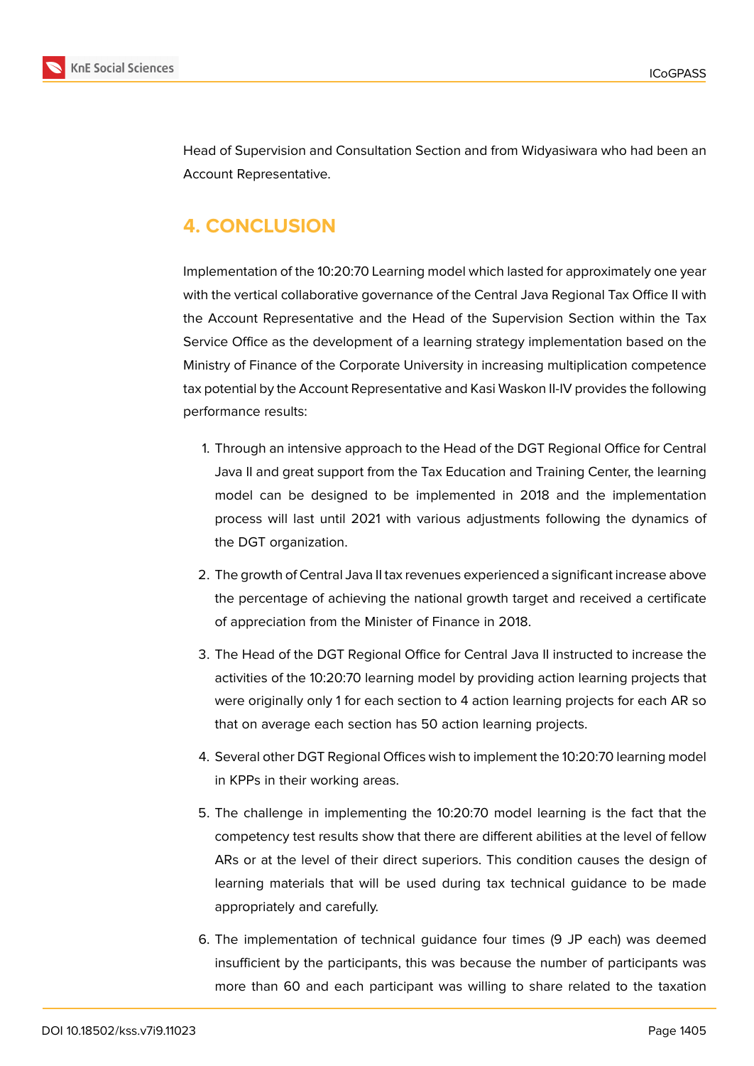



Head of Supervision and Consultation Section and from Widyasiwara who had been an Account Representative.

### **4. CONCLUSION**

Implementation of the 10:20:70 Learning model which lasted for approximately one year with the vertical collaborative governance of the Central Java Regional Tax Office II with the Account Representative and the Head of the Supervision Section within the Tax Service Office as the development of a learning strategy implementation based on the Ministry of Finance of the Corporate University in increasing multiplication competence tax potential by the Account Representative and Kasi Waskon II-IV provides the following performance results:

- 1. Through an intensive approach to the Head of the DGT Regional Office for Central Java II and great support from the Tax Education and Training Center, the learning model can be designed to be implemented in 2018 and the implementation process will last until 2021 with various adjustments following the dynamics of the DGT organization.
- 2. The growth of Central Java II tax revenues experienced a significant increase above the percentage of achieving the national growth target and received a certificate of appreciation from the Minister of Finance in 2018.
- 3. The Head of the DGT Regional Office for Central Java II instructed to increase the activities of the 10:20:70 learning model by providing action learning projects that were originally only 1 for each section to 4 action learning projects for each AR so that on average each section has 50 action learning projects.
- 4. Several other DGT Regional Offices wish to implement the 10:20:70 learning model in KPPs in their working areas.
- 5. The challenge in implementing the 10:20:70 model learning is the fact that the competency test results show that there are different abilities at the level of fellow ARs or at the level of their direct superiors. This condition causes the design of learning materials that will be used during tax technical guidance to be made appropriately and carefully.
- 6. The implementation of technical guidance four times (9 JP each) was deemed insufficient by the participants, this was because the number of participants was more than 60 and each participant was willing to share related to the taxation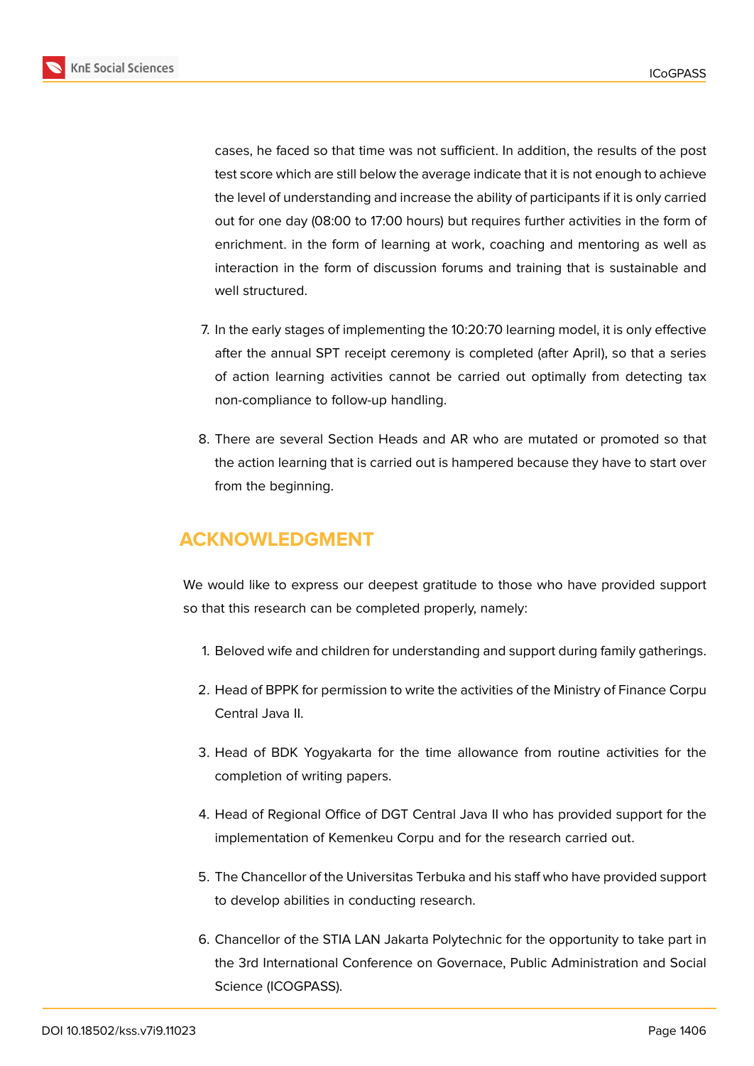

cases, he faced so that time was not sufficient. In addition, the results of the post test score which are still below the average indicate that it is not enough to achieve the level of understanding and increase the ability of participants if it is only carried out for one day (08:00 to 17:00 hours) but requires further activities in the form of enrichment. in the form of learning at work, coaching and mentoring as well as interaction in the form of discussion forums and training that is sustainable and well structured.

- 7. In the early stages of implementing the 10:20:70 learning model, it is only effective after the annual SPT receipt ceremony is completed (after April), so that a series of action learning activities cannot be carried out optimally from detecting tax non-compliance to follow-up handling.
- 8. There are several Section Heads and AR who are mutated or promoted so that the action learning that is carried out is hampered because they have to start over from the beginning.

# **ACKNOWLEDGMENT**

We would like to express our deepest gratitude to those who have provided support so that this research can be completed properly, namely:

- 1. Beloved wife and children for understanding and support during family gatherings.
- 2. Head of BPPK for permission to write the activities of the Ministry of Finance Corpu Central Java II.
- 3. Head of BDK Yogyakarta for the time allowance from routine activities for the completion of writing papers.
- 4. Head of Regional Office of DGT Central Java II who has provided support for the implementation of Kemenkeu Corpu and for the research carried out.
- 5. The Chancellor of the Universitas Terbuka and his staff who have provided support to develop abilities in conducting research.
- 6. Chancellor of the STIA LAN Jakarta Polytechnic for the opportunity to take part in the 3rd International Conference on Governace, Public Administration and Social Science (ICOGPASS).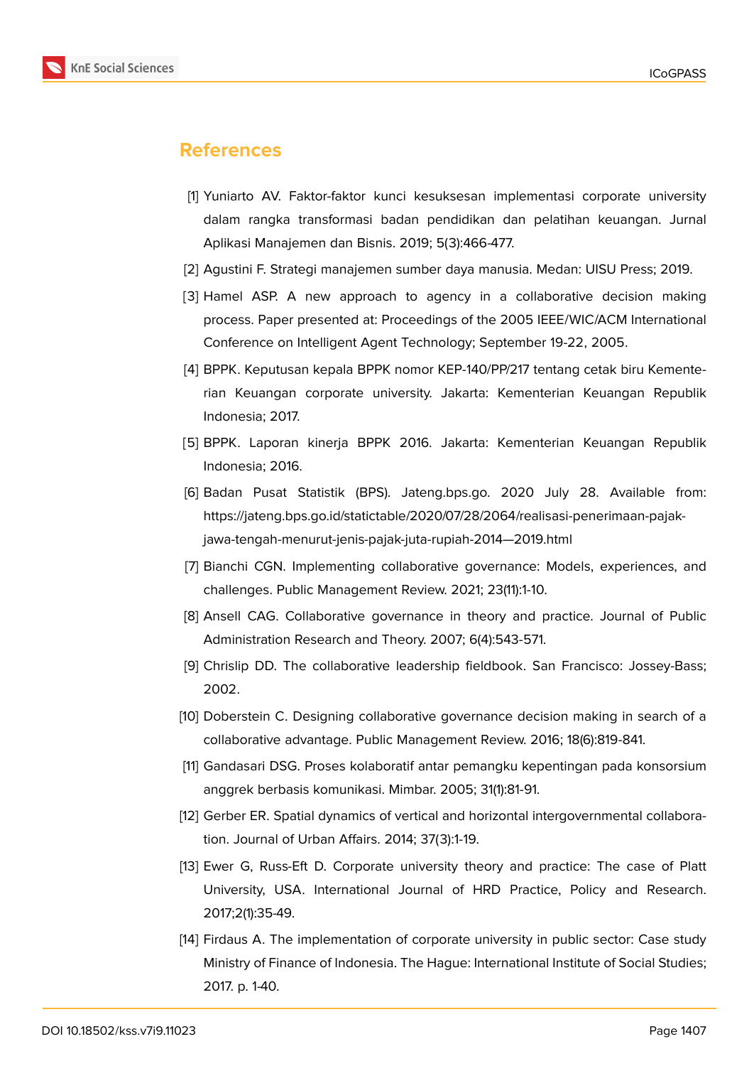

#### **References**

- [1] Yuniarto AV. Faktor-faktor kunci kesuksesan implementasi corporate university dalam rangka transformasi badan pendidikan dan pelatihan keuangan. Jurnal Aplikasi Manajemen dan Bisnis. 2019; 5(3):466-477.
- [2] Agustini F. Strategi manajemen sumber daya manusia. Medan: UISU Press; 2019.
- [3] Hamel ASP. A new approach to agency in a collaborative decision making process. Paper presented at: Proceedings of the 2005 IEEE/WIC/ACM International Conference on Intelligent Agent Technology; September 19-22, 2005.
- [4] BPPK. Keputusan kepala BPPK nomor KEP-140/PP/217 tentang cetak biru Kementerian Keuangan corporate university. Jakarta: Kementerian Keuangan Republik Indonesia; 2017.
- [5] BPPK. Laporan kinerja BPPK 2016. Jakarta: Kementerian Keuangan Republik Indonesia; 2016.
- [6] Badan Pusat Statistik (BPS). Jateng.bps.go. 2020 July 28. Available from: https://jateng.bps.go.id/statictable/2020/07/28/2064/realisasi-penerimaan-pajakjawa-tengah-menurut-jenis-pajak-juta-rupiah-2014—2019.html
- [7] Bianchi CGN. Implementing collaborative governance: Models, experiences, and challenges. Public Management Review. 2021; 23(11):1-10.
- [8] Ansell CAG. Collaborative governance in theory and practice. Journal of Public Administration Research and Theory. 2007; 6(4):543-571.
- [9] Chrislip DD. The collaborative leadership fieldbook. San Francisco: Jossey-Bass; 2002.
- [10] Doberstein C. Designing collaborative governance decision making in search of a collaborative advantage. Public Management Review. 2016; 18(6):819-841.
- [11] Gandasari DSG. Proses kolaboratif antar pemangku kepentingan pada konsorsium anggrek berbasis komunikasi. Mimbar. 2005; 31(1):81-91.
- [12] Gerber ER. Spatial dynamics of vertical and horizontal intergovernmental collaboration. Journal of Urban Affairs. 2014; 37(3):1-19.
- [13] Ewer G, Russ-Eft D. Corporate university theory and practice: The case of Platt University, USA. International Journal of HRD Practice, Policy and Research. 2017;2(1):35-49.
- [14] Firdaus A. The implementation of corporate university in public sector: Case study Ministry of Finance of Indonesia. The Hague: International Institute of Social Studies; 2017. p. 1-40.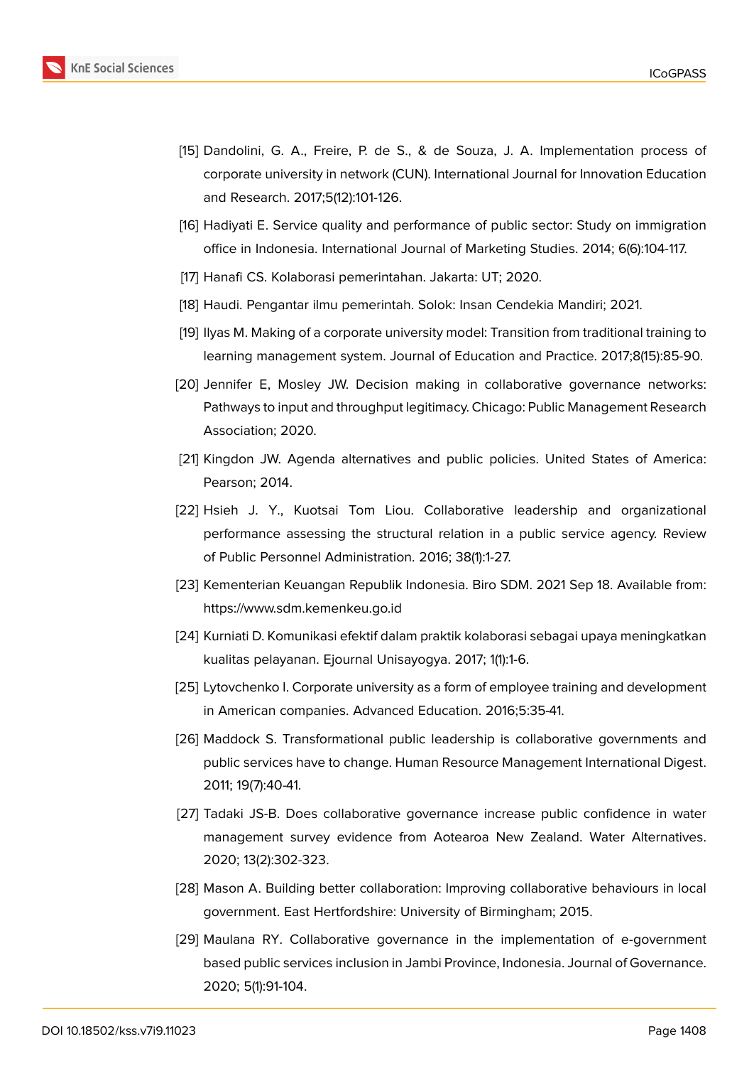

- [15] Dandolini, G. A., Freire, P. de S., & de Souza, J. A. Implementation process of corporate university in network (CUN). International Journal for Innovation Education and Research. 2017;5(12):101-126.
- [16] Hadiyati E. Service quality and performance of public sector: Study on immigration office in Indonesia. International Journal of Marketing Studies. 2014; 6(6):104-117.
- [17] Hanafi CS. Kolaborasi pemerintahan. Jakarta: UT; 2020.
- [18] Haudi. Pengantar ilmu pemerintah. Solok: Insan Cendekia Mandiri; 2021.
- [19] Ilyas M. Making of a corporate university model: Transition from traditional training to learning management system. Journal of Education and Practice. 2017;8(15):85-90.
- [20] Jennifer E, Mosley JW. Decision making in collaborative governance networks: Pathways to input and throughput legitimacy. Chicago: Public Management Research Association; 2020.
- [21] Kingdon JW. Agenda alternatives and public policies. United States of America: Pearson; 2014.
- [22] Hsieh J. Y., Kuotsai Tom Liou. Collaborative leadership and organizational performance assessing the structural relation in a public service agency. Review of Public Personnel Administration. 2016; 38(1):1-27.
- [23] Kementerian Keuangan Republik Indonesia. Biro SDM. 2021 Sep 18. Available from: https://www.sdm.kemenkeu.go.id
- [24] Kurniati D. Komunikasi efektif dalam praktik kolaborasi sebagai upaya meningkatkan kualitas pelayanan. Ejournal Unisayogya. 2017; 1(1):1-6.
- [25] Lytovchenko I. Corporate university as a form of employee training and development in American companies. Advanced Education. 2016;5:35-41.
- [26] Maddock S. Transformational public leadership is collaborative governments and public services have to change. Human Resource Management International Digest. 2011; 19(7):40-41.
- [27] Tadaki JS-B. Does collaborative governance increase public confidence in water management survey evidence from Aotearoa New Zealand. Water Alternatives. 2020; 13(2):302-323.
- [28] Mason A. Building better collaboration: Improving collaborative behaviours in local government. East Hertfordshire: University of Birmingham; 2015.
- [29] Maulana RY. Collaborative governance in the implementation of e-government based public services inclusion in Jambi Province, Indonesia. Journal of Governance. 2020; 5(1):91-104.